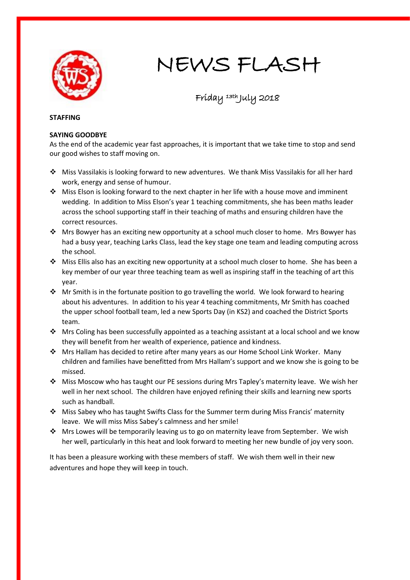

# NEWS FLASH

# Friday 13th July 2018

#### **STAFFING**

## **SAYING GOODBYE**

As the end of the academic year fast approaches, it is important that we take time to stop and send our good wishes to staff moving on.

- Miss Vassilakis is looking forward to new adventures. We thank Miss Vassilakis for all her hard work, energy and sense of humour.
- \* Miss Elson is looking forward to the next chapter in her life with a house move and imminent wedding. In addition to Miss Elson's year 1 teaching commitments, she has been maths leader across the school supporting staff in their teaching of maths and ensuring children have the correct resources.
- $\cdot \cdot$  Mrs Bowyer has an exciting new opportunity at a school much closer to home. Mrs Bowyer has had a busy year, teaching Larks Class, lead the key stage one team and leading computing across the school.
- $\cdot \cdot$  Miss Ellis also has an exciting new opportunity at a school much closer to home. She has been a key member of our year three teaching team as well as inspiring staff in the teaching of art this year.
- \* Mr Smith is in the fortunate position to go travelling the world. We look forward to hearing about his adventures. In addition to his year 4 teaching commitments, Mr Smith has coached the upper school football team, led a new Sports Day (in KS2) and coached the District Sports team.
- \* Mrs Coling has been successfully appointed as a teaching assistant at a local school and we know they will benefit from her wealth of experience, patience and kindness.
- Mrs Hallam has decided to retire after many years as our Home School Link Worker. Many children and families have benefitted from Mrs Hallam's support and we know she is going to be missed.
- Miss Moscow who has taught our PE sessions during Mrs Tapley's maternity leave. We wish her well in her next school. The children have enjoyed refining their skills and learning new sports such as handball.
- Miss Sabey who has taught Swifts Class for the Summer term during Miss Francis' maternity leave. We will miss Miss Sabey's calmness and her smile!
- $\cdot \cdot$  Mrs Lowes will be temporarily leaving us to go on maternity leave from September. We wish her well, particularly in this heat and look forward to meeting her new bundle of joy very soon.

It has been a pleasure working with these members of staff. We wish them well in their new adventures and hope they will keep in touch.